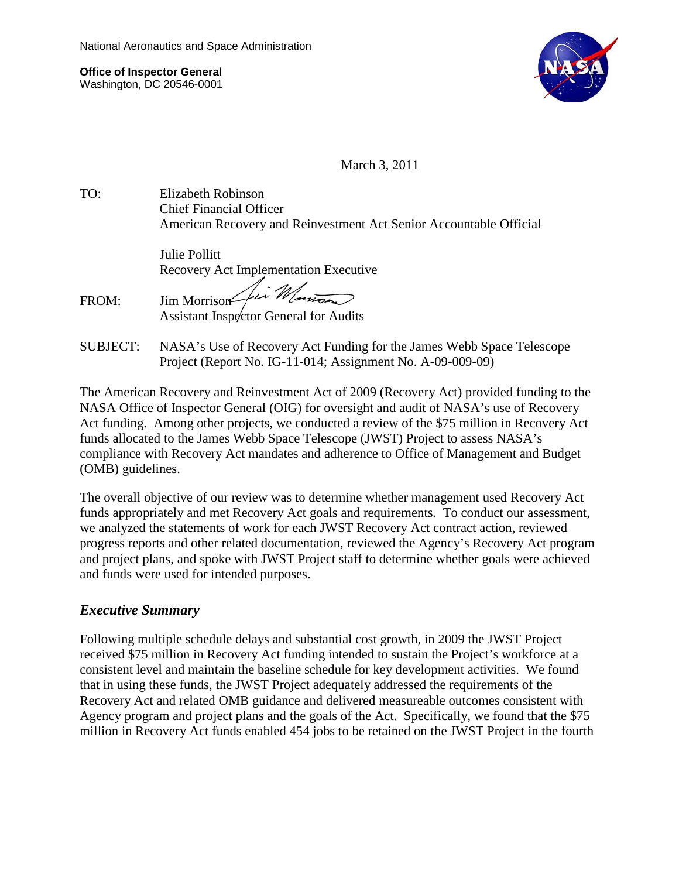**Office of Inspector General** Washington, DC 20546-0001



March 3, 2011

TO: Elizabeth Robinson Chief Financial Officer American Recovery and Reinvestment Act Senior Accountable Official

> Julie Pollitt Recovery Act Implementation Executive

FROM: Jim Morrison fin Montes Assistant Inspector General for Audits

SUBJECT: NASA's Use of Recovery Act Funding for the James Webb Space Telescope Project (Report No. IG-11-014; Assignment No. A-09-009-09)

The American Recovery and Reinvestment Act of 2009 (Recovery Act) provided funding to the NASA Office of Inspector General (OIG) for oversight and audit of NASA's use of Recovery Act funding. Among other projects, we conducted a review of the \$75 million in Recovery Act funds allocated to the James Webb Space Telescope (JWST) Project to assess NASA's compliance with Recovery Act mandates and adherence to Office of Management and Budget (OMB) guidelines.

The overall objective of our review was to determine whether management used Recovery Act funds appropriately and met Recovery Act goals and requirements. To conduct our assessment, we analyzed the statements of work for each JWST Recovery Act contract action, reviewed progress reports and other related documentation, reviewed the Agency's Recovery Act program and project plans, and spoke with JWST Project staff to determine whether goals were achieved and funds were used for intended purposes.

## *Executive Summary*

Following multiple schedule delays and substantial cost growth, in 2009 the JWST Project received \$75 million in Recovery Act funding intended to sustain the Project's workforce at a consistent level and maintain the baseline schedule for key development activities. We found that in using these funds, the JWST Project adequately addressed the requirements of the Recovery Act and related OMB guidance and delivered measureable outcomes consistent with Agency program and project plans and the goals of the Act. Specifically, we found that the \$75 million in Recovery Act funds enabled 454 jobs to be retained on the JWST Project in the fourth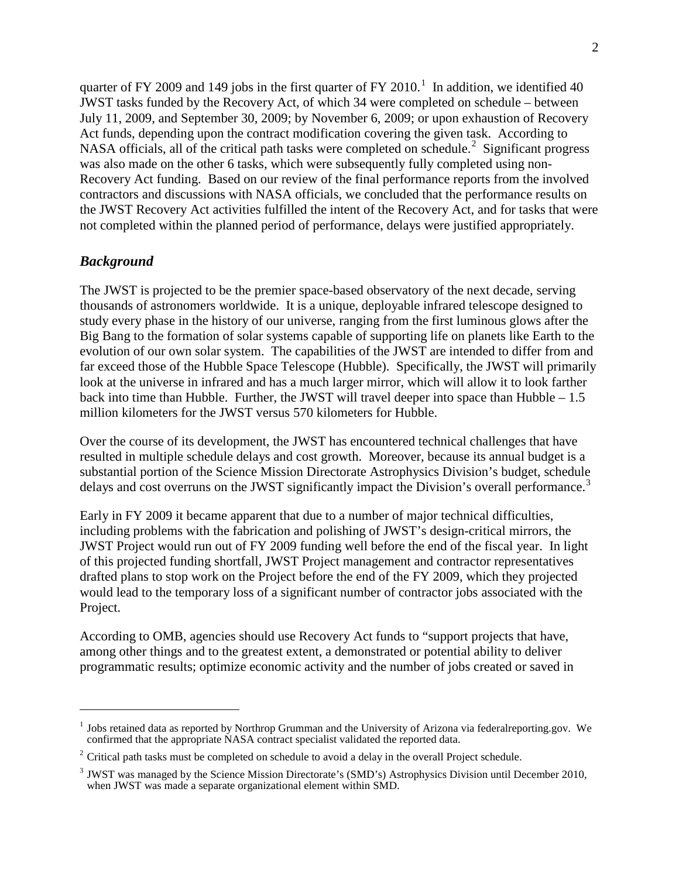quarter of FY 2009 and [1](#page-1-0)49 jobs in the first quarter of FY 2010.<sup>1</sup> In addition, we identified 40 JWST tasks funded by the Recovery Act, of which 34 were completed on schedule – between July 11, 2009, and September 30, 2009; by November 6, 2009; or upon exhaustion of Recovery Act funds, depending upon the contract modification covering the given task. According to NASA officials, all of the critical path tasks were completed on schedule.<sup>[2](#page-1-1)</sup> Significant progress was also made on the other 6 tasks, which were subsequently fully completed using non-Recovery Act funding. Based on our review of the final performance reports from the involved contractors and discussions with NASA officials, we concluded that the performance results on the JWST Recovery Act activities fulfilled the intent of the Recovery Act, and for tasks that were not completed within the planned period of performance, delays were justified appropriately.

## *Background*

 $\overline{a}$ 

The JWST is projected to be the premier space-based observatory of the next decade, serving thousands of astronomers worldwide. It is a unique, deployable infrared telescope designed to study every phase in the history of our universe, ranging from the first luminous glows after the Big Bang to the formation of solar systems capable of supporting life on planets like Earth to the evolution of our own solar system. The capabilities of the JWST are intended to differ from and far exceed those of the Hubble Space Telescope (Hubble). Specifically, the JWST will primarily look at the universe in infrared and has a much larger mirror, which will allow it to look farther back into time than Hubble. Further, the JWST will travel deeper into space than Hubble – 1.5 million kilometers for the JWST versus 570 kilometers for Hubble.

Over the course of its development, the JWST has encountered technical challenges that have resulted in multiple schedule delays and cost growth. Moreover, because its annual budget is a substantial portion of the Science Mission Directorate Astrophysics Division's budget, schedule delays and cost overruns on the JWST significantly impact the Division's overall performance.<sup>[3](#page-1-2)</sup>

Early in FY 2009 it became apparent that due to a number of major technical difficulties, including problems with the fabrication and polishing of JWST's design-critical mirrors, the JWST Project would run out of FY 2009 funding well before the end of the fiscal year. In light of this projected funding shortfall, JWST Project management and contractor representatives drafted plans to stop work on the Project before the end of the FY 2009, which they projected would lead to the temporary loss of a significant number of contractor jobs associated with the Project.

According to OMB, agencies should use Recovery Act funds to "support projects that have, among other things and to the greatest extent, a demonstrated or potential ability to deliver programmatic results; optimize economic activity and the number of jobs created or saved in

<span id="page-1-0"></span><sup>&</sup>lt;sup>1</sup> Jobs retained data as reported by Northrop Grumman and the University of Arizona via federalreporting.gov. We confirmed that the appropriate NASA contract specialist validated the reported data.

<span id="page-1-1"></span> $2$  Critical path tasks must be completed on schedule to avoid a delay in the overall Project schedule.

<span id="page-1-2"></span><sup>&</sup>lt;sup>3</sup> JWST was managed by the Science Mission Directorate's (SMD's) Astrophysics Division until December 2010, when JWST was made a separate organizational element within SMD.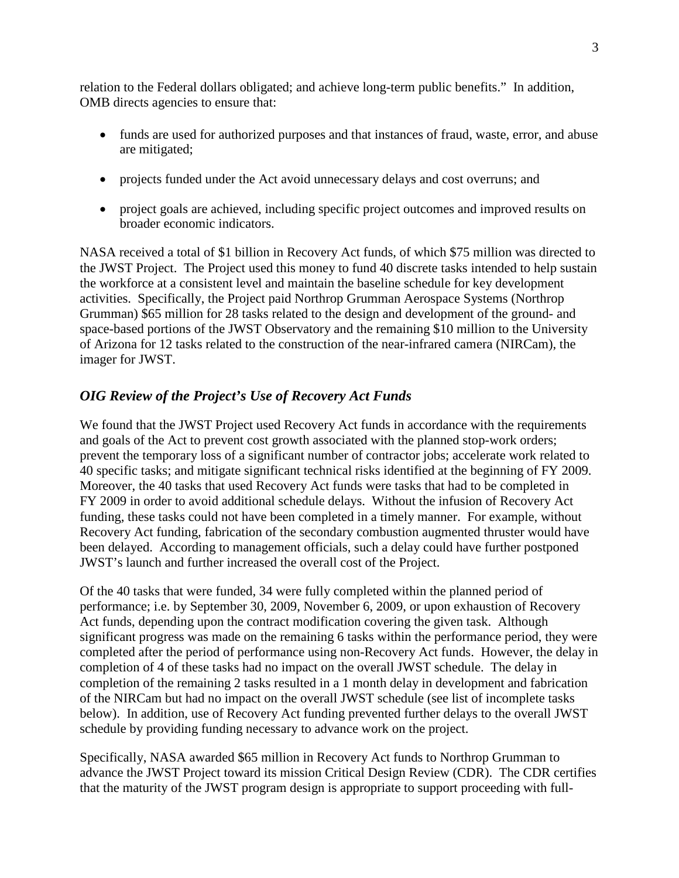relation to the Federal dollars obligated; and achieve long-term public benefits." In addition, OMB directs agencies to ensure that:

- funds are used for authorized purposes and that instances of fraud, waste, error, and abuse are mitigated;
- projects funded under the Act avoid unnecessary delays and cost overruns; and
- project goals are achieved, including specific project outcomes and improved results on broader economic indicators.

NASA received a total of \$1 billion in Recovery Act funds, of which \$75 million was directed to the JWST Project. The Project used this money to fund 40 discrete tasks intended to help sustain the workforce at a consistent level and maintain the baseline schedule for key development activities. Specifically, the Project paid Northrop Grumman Aerospace Systems (Northrop Grumman) \$65 million for 28 tasks related to the design and development of the ground- and space-based portions of the JWST Observatory and the remaining \$10 million to the University of Arizona for 12 tasks related to the construction of the near-infrared camera (NIRCam), the imager for JWST.

## *OIG Review of the Project's Use of Recovery Act Funds*

We found that the JWST Project used Recovery Act funds in accordance with the requirements and goals of the Act to prevent cost growth associated with the planned stop-work orders; prevent the temporary loss of a significant number of contractor jobs; accelerate work related to 40 specific tasks; and mitigate significant technical risks identified at the beginning of FY 2009. Moreover, the 40 tasks that used Recovery Act funds were tasks that had to be completed in FY 2009 in order to avoid additional schedule delays. Without the infusion of Recovery Act funding, these tasks could not have been completed in a timely manner. For example, without Recovery Act funding, fabrication of the secondary combustion augmented thruster would have been delayed. According to management officials, such a delay could have further postponed JWST's launch and further increased the overall cost of the Project.

Of the 40 tasks that were funded, 34 were fully completed within the planned period of performance; i.e. by September 30, 2009, November 6, 2009, or upon exhaustion of Recovery Act funds, depending upon the contract modification covering the given task. Although significant progress was made on the remaining 6 tasks within the performance period, they were completed after the period of performance using non-Recovery Act funds. However, the delay in completion of 4 of these tasks had no impact on the overall JWST schedule. The delay in completion of the remaining 2 tasks resulted in a 1 month delay in development and fabrication of the NIRCam but had no impact on the overall JWST schedule (see list of incomplete tasks below). In addition, use of Recovery Act funding prevented further delays to the overall JWST schedule by providing funding necessary to advance work on the project.

Specifically, NASA awarded \$65 million in Recovery Act funds to Northrop Grumman to advance the JWST Project toward its mission Critical Design Review (CDR). The CDR certifies that the maturity of the JWST program design is appropriate to support proceeding with full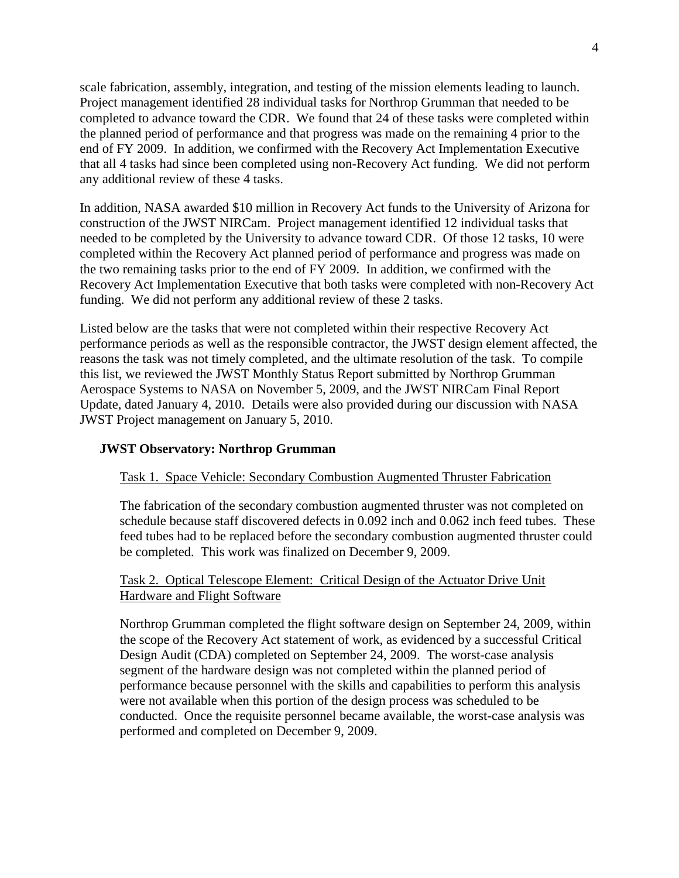scale fabrication, assembly, integration, and testing of the mission elements leading to launch. Project management identified 28 individual tasks for Northrop Grumman that needed to be completed to advance toward the CDR. We found that 24 of these tasks were completed within the planned period of performance and that progress was made on the remaining 4 prior to the end of FY 2009. In addition, we confirmed with the Recovery Act Implementation Executive that all 4 tasks had since been completed using non-Recovery Act funding. We did not perform any additional review of these 4 tasks.

In addition, NASA awarded \$10 million in Recovery Act funds to the University of Arizona for construction of the JWST NIRCam. Project management identified 12 individual tasks that needed to be completed by the University to advance toward CDR. Of those 12 tasks, 10 were completed within the Recovery Act planned period of performance and progress was made on the two remaining tasks prior to the end of FY 2009. In addition, we confirmed with the Recovery Act Implementation Executive that both tasks were completed with non-Recovery Act funding. We did not perform any additional review of these 2 tasks.

Listed below are the tasks that were not completed within their respective Recovery Act performance periods as well as the responsible contractor, the JWST design element affected, the reasons the task was not timely completed, and the ultimate resolution of the task. To compile this list, we reviewed the JWST Monthly Status Report submitted by Northrop Grumman Aerospace Systems to NASA on November 5, 2009, and the JWST NIRCam Final Report Update, dated January 4, 2010. Details were also provided during our discussion with NASA JWST Project management on January 5, 2010.

## **JWST Observatory: Northrop Grumman**

## Task 1. Space Vehicle: Secondary Combustion Augmented Thruster Fabrication

The fabrication of the secondary combustion augmented thruster was not completed on schedule because staff discovered defects in 0.092 inch and 0.062 inch feed tubes. These feed tubes had to be replaced before the secondary combustion augmented thruster could be completed. This work was finalized on December 9, 2009.

## Task 2. Optical Telescope Element: Critical Design of the Actuator Drive Unit Hardware and Flight Software

Northrop Grumman completed the flight software design on September 24, 2009, within the scope of the Recovery Act statement of work, as evidenced by a successful Critical Design Audit (CDA) completed on September 24, 2009. The worst-case analysis segment of the hardware design was not completed within the planned period of performance because personnel with the skills and capabilities to perform this analysis were not available when this portion of the design process was scheduled to be conducted. Once the requisite personnel became available, the worst-case analysis was performed and completed on December 9, 2009.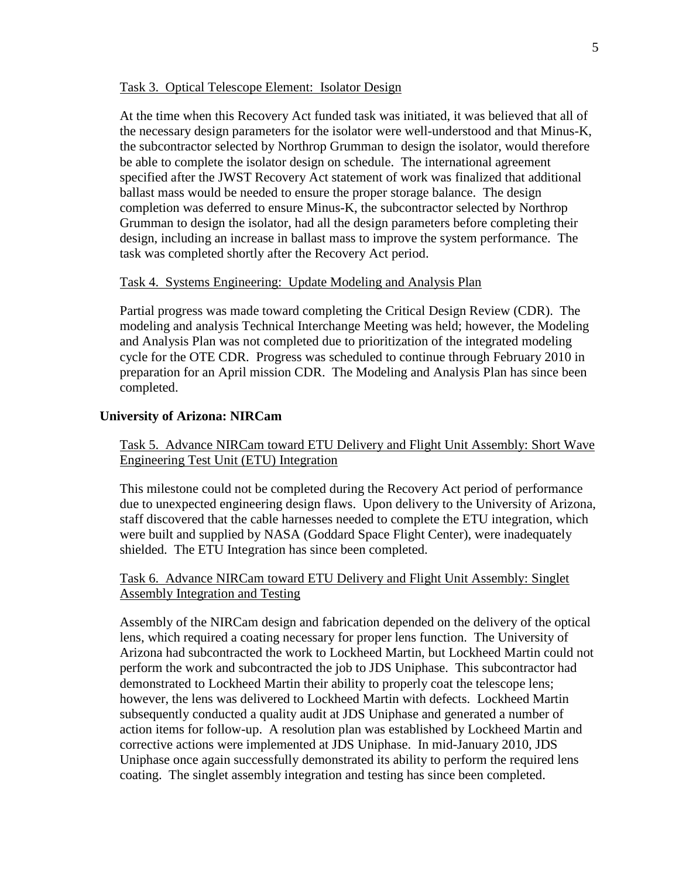#### Task 3. Optical Telescope Element: Isolator Design

At the time when this Recovery Act funded task was initiated, it was believed that all of the necessary design parameters for the isolator were well-understood and that Minus-K, the subcontractor selected by Northrop Grumman to design the isolator, would therefore be able to complete the isolator design on schedule. The international agreement specified after the JWST Recovery Act statement of work was finalized that additional ballast mass would be needed to ensure the proper storage balance. The design completion was deferred to ensure Minus-K, the subcontractor selected by Northrop Grumman to design the isolator, had all the design parameters before completing their design, including an increase in ballast mass to improve the system performance. The task was completed shortly after the Recovery Act period.

#### Task 4. Systems Engineering: Update Modeling and Analysis Plan

Partial progress was made toward completing the Critical Design Review (CDR). The modeling and analysis Technical Interchange Meeting was held; however, the Modeling and Analysis Plan was not completed due to prioritization of the integrated modeling cycle for the OTE CDR. Progress was scheduled to continue through February 2010 in preparation for an April mission CDR. The Modeling and Analysis Plan has since been completed.

#### **University of Arizona: NIRCam**

Task 5. Advance NIRCam toward ETU Delivery and Flight Unit Assembly: Short Wave Engineering Test Unit (ETU) Integration

This milestone could not be completed during the Recovery Act period of performance due to unexpected engineering design flaws. Upon delivery to the University of Arizona, staff discovered that the cable harnesses needed to complete the ETU integration, which were built and supplied by NASA (Goddard Space Flight Center), were inadequately shielded. The ETU Integration has since been completed.

### Task 6. Advance NIRCam toward ETU Delivery and Flight Unit Assembly: Singlet Assembly Integration and Testing

Assembly of the NIRCam design and fabrication depended on the delivery of the optical lens, which required a coating necessary for proper lens function. The University of Arizona had subcontracted the work to Lockheed Martin, but Lockheed Martin could not perform the work and subcontracted the job to JDS Uniphase. This subcontractor had demonstrated to Lockheed Martin their ability to properly coat the telescope lens; however, the lens was delivered to Lockheed Martin with defects. Lockheed Martin subsequently conducted a quality audit at JDS Uniphase and generated a number of action items for follow-up. A resolution plan was established by Lockheed Martin and corrective actions were implemented at JDS Uniphase. In mid-January 2010, JDS Uniphase once again successfully demonstrated its ability to perform the required lens coating. The singlet assembly integration and testing has since been completed.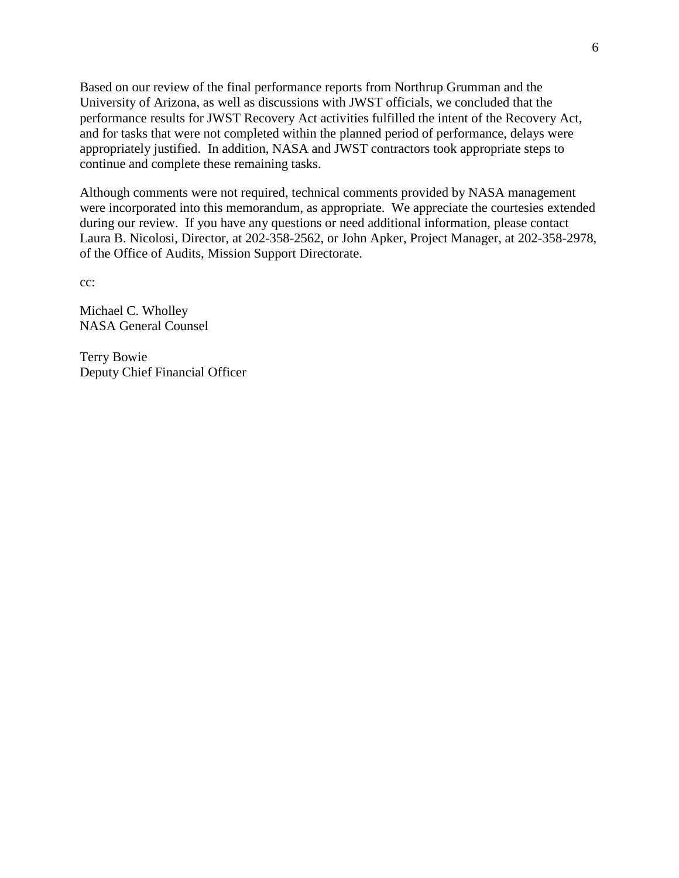Based on our review of the final performance reports from Northrup Grumman and the University of Arizona, as well as discussions with JWST officials, we concluded that the performance results for JWST Recovery Act activities fulfilled the intent of the Recovery Act, and for tasks that were not completed within the planned period of performance, delays were appropriately justified. In addition, NASA and JWST contractors took appropriate steps to continue and complete these remaining tasks.

Although comments were not required, technical comments provided by NASA management were incorporated into this memorandum, as appropriate. We appreciate the courtesies extended during our review. If you have any questions or need additional information, please contact Laura B. Nicolosi, Director, at 202-358-2562, or John Apker, Project Manager, at 202-358-2978, of the Office of Audits, Mission Support Directorate.

cc:

Michael C. Wholley NASA General Counsel

Terry Bowie Deputy Chief Financial Officer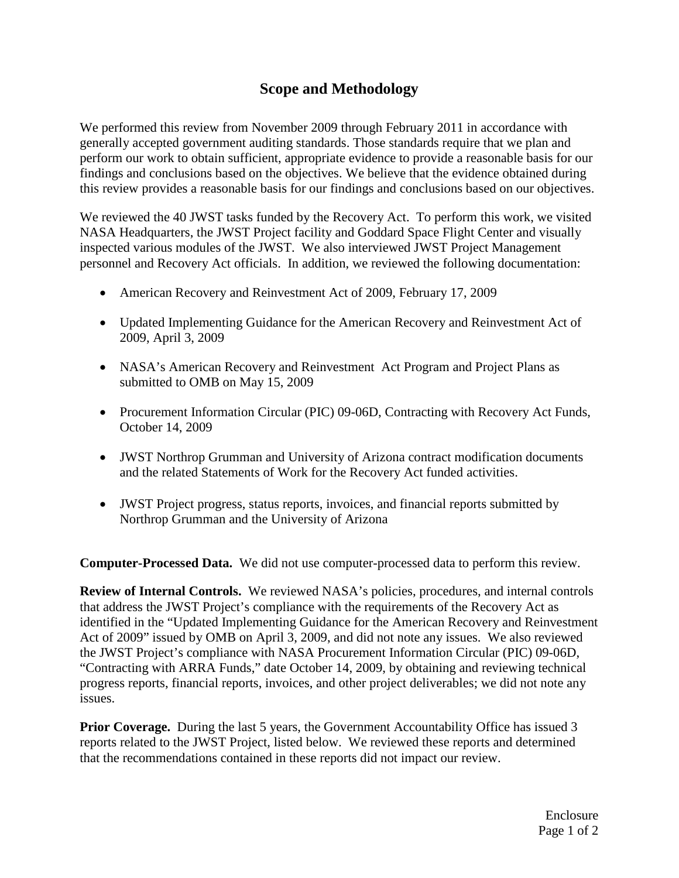# **Scope and Methodology**

We performed this review from November 2009 through February 2011 in accordance with generally accepted government auditing standards. Those standards require that we plan and perform our work to obtain sufficient, appropriate evidence to provide a reasonable basis for our findings and conclusions based on the objectives. We believe that the evidence obtained during this review provides a reasonable basis for our findings and conclusions based on our objectives.

We reviewed the 40 JWST tasks funded by the Recovery Act. To perform this work, we visited NASA Headquarters, the JWST Project facility and Goddard Space Flight Center and visually inspected various modules of the JWST. We also interviewed JWST Project Management personnel and Recovery Act officials. In addition, we reviewed the following documentation:

- American Recovery and Reinvestment Act of 2009, February 17, 2009
- Updated Implementing Guidance for the American Recovery and Reinvestment Act of 2009, April 3, 2009
- NASA's American Recovery and Reinvestment Act Program and Project Plans as submitted to OMB on May 15, 2009
- Procurement Information Circular (PIC) 09-06D, Contracting with Recovery Act Funds, October 14, 2009
- JWST Northrop Grumman and University of Arizona contract modification documents and the related Statements of Work for the Recovery Act funded activities.
- JWST Project progress, status reports, invoices, and financial reports submitted by Northrop Grumman and the University of Arizona

**Computer-Processed Data.** We did not use computer-processed data to perform this review.

**Review of Internal Controls.** We reviewed NASA's policies, procedures, and internal controls that address the JWST Project's compliance with the requirements of the Recovery Act as identified in the "Updated Implementing Guidance for the American Recovery and Reinvestment Act of 2009" issued by OMB on April 3, 2009, and did not note any issues. We also reviewed the JWST Project's compliance with NASA Procurement Information Circular (PIC) 09-06D, "Contracting with ARRA Funds," date October 14, 2009, by obtaining and reviewing technical progress reports, financial reports, invoices, and other project deliverables; we did not note any issues.

**Prior Coverage.** During the last 5 years, the Government Accountability Office has issued 3 reports related to the JWST Project, listed below. We reviewed these reports and determined that the recommendations contained in these reports did not impact our review.